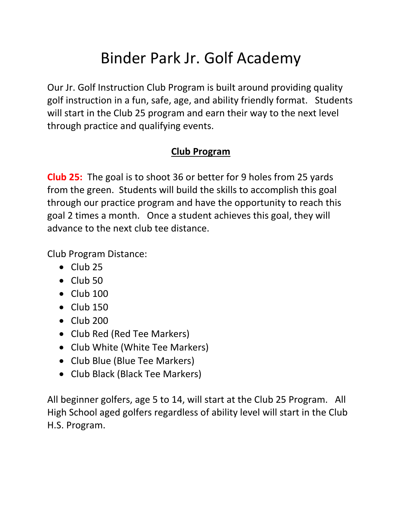# Binder Park Jr. Golf Academy

Our Jr. Golf Instruction Club Program is built around providing quality golf instruction in a fun, safe, age, and ability friendly format. Students will start in the Club 25 program and earn their way to the next level through practice and qualifying events.

## **Club Program**

**Club 25:** The goal is to shoot 36 or better for 9 holes from 25 yards from the green. Students will build the skills to accomplish this goal through our practice program and have the opportunity to reach this goal 2 times a month. Once a student achieves this goal, they will advance to the next club tee distance.

Club Program Distance:

- $\bullet$  Club 25
- Club 50
- Club 100
- $\bullet$  Club 150
- $\bullet$  Club 200
- Club Red (Red Tee Markers)
- Club White (White Tee Markers)
- Club Blue (Blue Tee Markers)
- Club Black (Black Tee Markers)

All beginner golfers, age 5 to 14, will start at the Club 25 Program. All High School aged golfers regardless of ability level will start in the Club H.S. Program.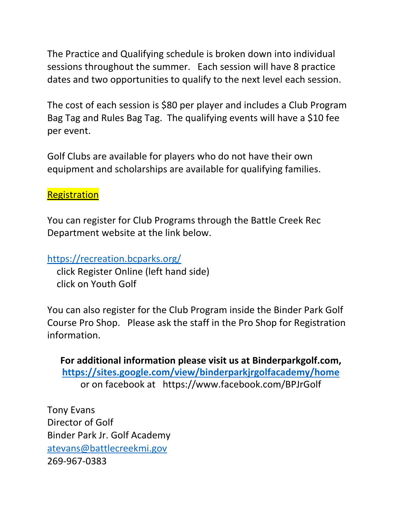The Practice and Qualifying schedule is broken down into individual sessions throughout the summer. Each session will have 8 practice dates and two opportunities to qualify to the next level each session.

The cost of each session is \$80 per player and includes a Club Program Bag Tag and Rules Bag Tag. The qualifying events will have a \$10 fee per event.

Golf Clubs are available for players who do not have their own equipment and scholarships are available for qualifying families.

### **Registration**

You can register for Club Programs through the Battle Creek Rec Department website at the link below.

<https://recreation.bcparks.org/>

 click Register Online (left hand side) click on Youth Golf

You can also register for the Club Program inside the Binder Park Golf Course Pro Shop. Please ask the staff in the Pro Shop for Registration information.

**For additional information please visit us at Binderparkgolf.com, <https://sites.google.com/view/binderparkjrgolfacademy/home>** or on facebook at https://www.facebook.com/BPJrGolf

Tony Evans Director of Golf Binder Park Jr. Golf Academy [atevans@battlecreekmi.gov](mailto:atevans@battlecreekmi.gov) 269-967-0383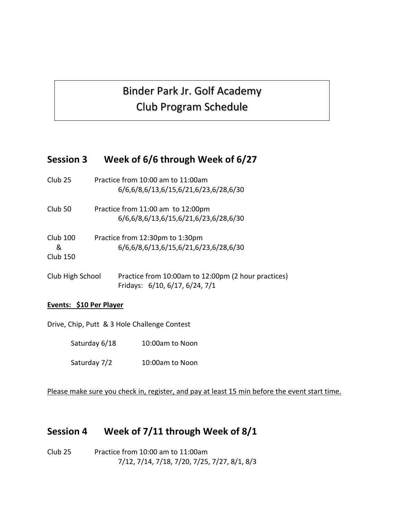# Binder Park Jr. Golf Academy Club Program Schedule

### **Session 3 Week of 6/6 through Week of 6/27**

| Club 25 | Practice from 10:00 am to 11:00am     |  |
|---------|---------------------------------------|--|
|         | 6/6,6/8,6/13,6/15,6/21,6/23,6/28,6/30 |  |

| Club 50 | Practice from 11:00 am to 12:00pm     |
|---------|---------------------------------------|
|         | 6/6,6/8,6/13,6/15,6/21,6/23,6/28,6/30 |

| <b>Club 100</b> | Practice from 12:30pm to 1:30pm       |
|-----------------|---------------------------------------|
| x,              | 6/6,6/8,6/13,6/15,6/21,6/23,6/28,6/30 |
| Club 150        |                                       |

| Club High School | Practice from 10:00am to 12:00pm (2 hour practices) |  |
|------------------|-----------------------------------------------------|--|
|                  | Fridays: 6/10, 6/17, 6/24, 7/1                      |  |

#### **Events: \$10 Per Player**

Drive, Chip, Putt & 3 Hole Challenge Contest

Saturday 7/2 10:00am to Noon

Please make sure you check in, register, and pay at least 15 min before the event start time.

#### **Session 4 Week of 7/11 through Week of 8/1**

Club 25 Practice from 10:00 am to 11:00am 7/12, 7/14, 7/18, 7/20, 7/25, 7/27, 8/1, 8/3